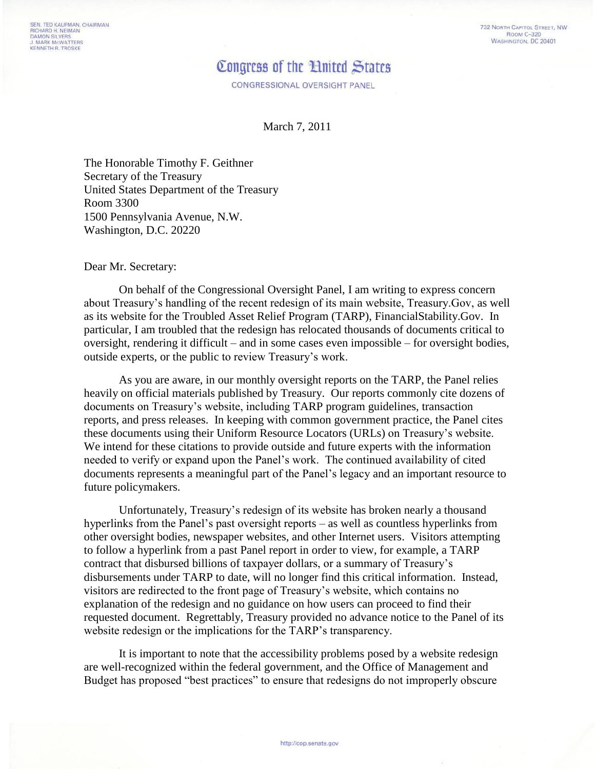## Congress of the Hnited States

CONGRESSIONAL OVERSIGHT PANEL

March 7, 2011

The Honorable Timothy F. Geithner Secretary of the Treasury United States Department of the Treasury Room 3300 1500 Pennsylvania Avenue, N.W. Washington, D.C. 20220

## Dear Mr. Secretary:

On behalf of the Congressional Oversight Panel, I am writing to express concern about Treasury's handling of the recent redesign of its main website, Treasury.Gov, as well as its website for the Troubled Asset Relief Program (TARP), FinancialStability.Gov. In particular, I am troubled that the redesign has relocated thousands of documents critical to oversight, rendering it difficult – and in some cases even impossible – for oversight bodies, outside experts, or the public to review Treasury's work.

As you are aware, in our monthly oversight reports on the TARP, the Panel relies heavily on official materials published by Treasury. Our reports commonly cite dozens of documents on Treasury's website, including TARP program guidelines, transaction reports, and press releases. In keeping with common government practice, the Panel cites these documents using their Uniform Resource Locators (URLs) on Treasury's website. We intend for these citations to provide outside and future experts with the information needed to verify or expand upon the Panel's work. The continued availability of cited documents represents a meaningful part of the Panel's legacy and an important resource to future policymakers.

Unfortunately, Treasury's redesign of its website has broken nearly a thousand hyperlinks from the Panel's past oversight reports – as well as countless hyperlinks from other oversight bodies, newspaper websites, and other Internet users. Visitors attempting to follow a hyperlink from a past Panel report in order to view, for example, a TARP contract that disbursed billions of taxpayer dollars, or a summary of Treasury's disbursements under TARP to date, will no longer find this critical information. Instead, visitors are redirected to the front page of Treasury's website, which contains no explanation of the redesign and no guidance on how users can proceed to find their requested document. Regrettably, Treasury provided no advance notice to the Panel of its website redesign or the implications for the TARP's transparency.

It is important to note that the accessibility problems posed by a website redesign are well-recognized within the federal government, and the Office of Management and Budget has proposed "best practices" to ensure that redesigns do not improperly obscure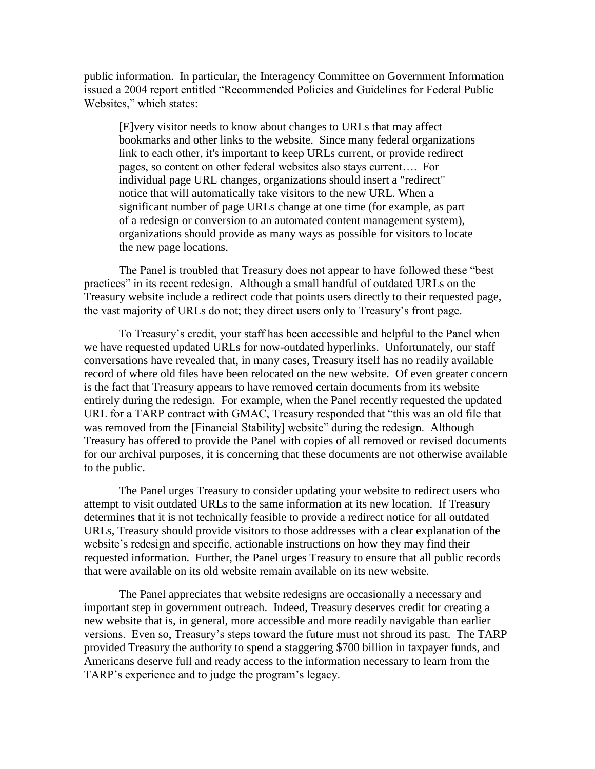public information. In particular, the Interagency Committee on Government Information issued a 2004 report entitled "Recommended Policies and Guidelines for Federal Public Websites," which states:

[E]very visitor needs to know about changes to URLs that may affect bookmarks and other links to the website. Since many federal organizations link to each other, it's important to keep URLs current, or provide redirect pages, so content on other federal websites also stays current…. For individual page URL changes, organizations should insert a "redirect" notice that will automatically take visitors to the new URL. When a significant number of page URLs change at one time (for example, as part of a redesign or conversion to an automated content management system), organizations should provide as many ways as possible for visitors to locate the new page locations.

The Panel is troubled that Treasury does not appear to have followed these "best practices" in its recent redesign. Although a small handful of outdated URLs on the Treasury website include a redirect code that points users directly to their requested page, the vast majority of URLs do not; they direct users only to Treasury's front page.

To Treasury's credit, your staff has been accessible and helpful to the Panel when we have requested updated URLs for now-outdated hyperlinks. Unfortunately, our staff conversations have revealed that, in many cases, Treasury itself has no readily available record of where old files have been relocated on the new website. Of even greater concern is the fact that Treasury appears to have removed certain documents from its website entirely during the redesign. For example, when the Panel recently requested the updated URL for a TARP contract with GMAC, Treasury responded that "this was an old file that was removed from the [Financial Stability] website" during the redesign. Although Treasury has offered to provide the Panel with copies of all removed or revised documents for our archival purposes, it is concerning that these documents are not otherwise available to the public.

The Panel urges Treasury to consider updating your website to redirect users who attempt to visit outdated URLs to the same information at its new location. If Treasury determines that it is not technically feasible to provide a redirect notice for all outdated URLs, Treasury should provide visitors to those addresses with a clear explanation of the website's redesign and specific, actionable instructions on how they may find their requested information. Further, the Panel urges Treasury to ensure that all public records that were available on its old website remain available on its new website.

The Panel appreciates that website redesigns are occasionally a necessary and important step in government outreach. Indeed, Treasury deserves credit for creating a new website that is, in general, more accessible and more readily navigable than earlier versions. Even so, Treasury's steps toward the future must not shroud its past. The TARP provided Treasury the authority to spend a staggering \$700 billion in taxpayer funds, and Americans deserve full and ready access to the information necessary to learn from the TARP's experience and to judge the program's legacy.